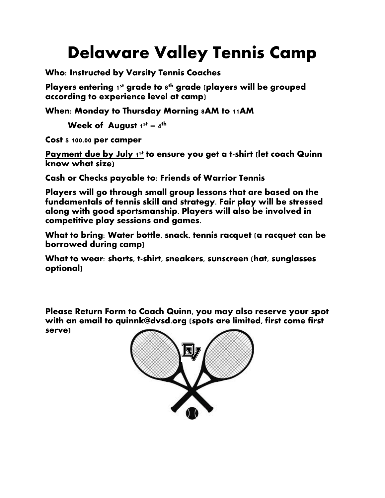## **Delaware Valley Tennis Camp**

**Who: Instructed by Varsity Tennis Coaches**

**Players entering 1st grade to 8th grade (players will be grouped according to experience level at camp)**

**When: Monday to Thursday Morning 8AM to 11AM** 

**Week of August 1st – 4th**

**Cost \$ 100.00 per camper**

**Payment due by July 1st to ensure you get a t-shirt (let coach Quinn know what size)**

**Cash or Checks payable to: Friends of Warrior Tennis**

**Players will go through small group lessons that are based on the fundamentals of tennis skill and strategy. Fair play will be stressed along with good sportsmanship. Players will also be involved in competitive play sessions and games.** 

**What to bring: Water bottle, snack, tennis racquet (a racquet can be borrowed during camp)**

**What to wear: shorts, t-shirt, sneakers, sunscreen (hat, sunglasses optional)**

**Please Return Form to Coach Quinn, you may also reserve your spot with an email to quinnk@dvsd.org (spots are limited, first come first serve)**